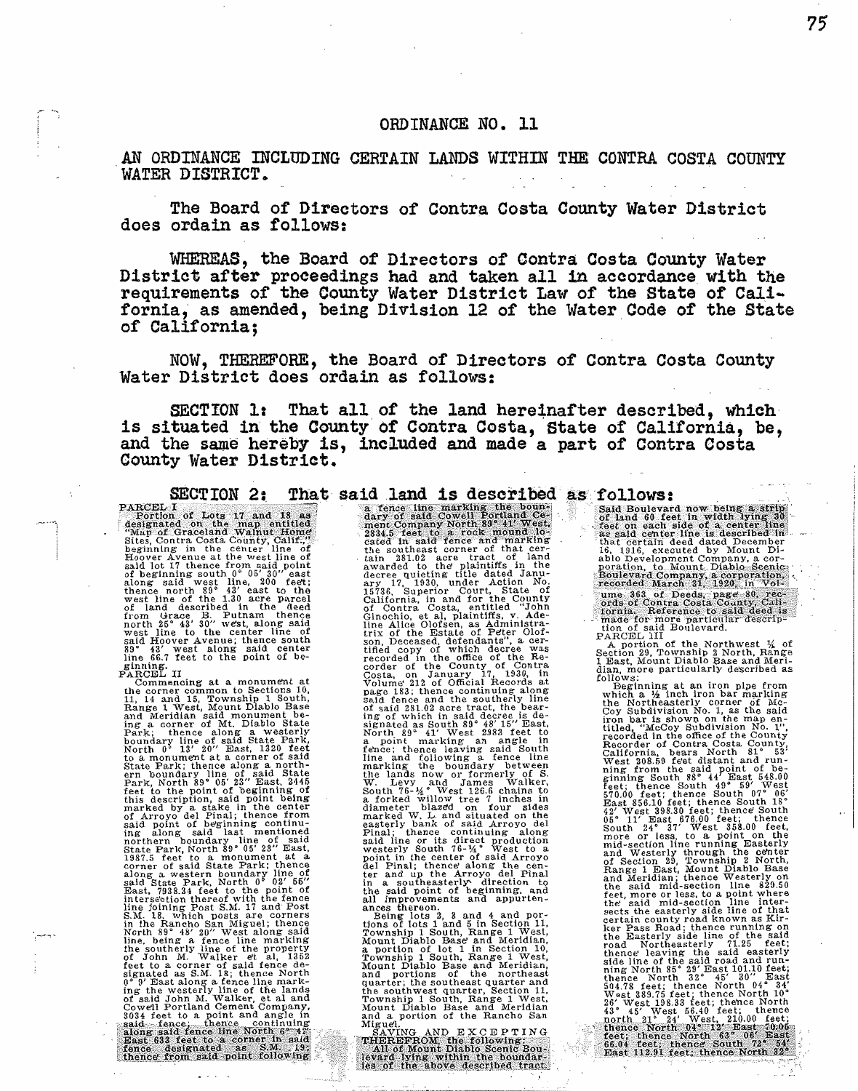## ORDINANCE NO. 11

AN ORDINANCE INCLUDING CERTAIN LANDS WITHIN THE CONTRA COSTA COUNTY WATER DISTRICT.

The Board of Directors of Contra Costa County Water District does ordain as follows:

WHEREAS, the Board of Directors of Contra Costa County Water District after proceedings had and taken all in accordance with the requirements of the County Water District Law of the State of California, as amended, being Division 12 of the Water Code of the State of California:

NOW, THEREFORE, the Board of Directors of Contra Costa County Water District does ordain as follows:

SECTION 1: That all of the land hereinafter described, which is situated in the County of Contra Costa, State of California, be, and the same hereby is, included and made a part of Contra Costa County Water District.

**SECTION 2:** The exist and 18 as<br>
repretion of Lots 17 and 18 as<br>
designated on the map entitled<br>
designated on the map entitled<br>
designated on the map entitled<br>
designated on the centry Calif.<br>
Sites, Contra Costa County ginning.<br>PARCEL II

sine 66.7 Feet to the point of be-<br>Faming. The following at a monument at the commentions at a monument at<br>the common to Sections 10,<br>H, 14 and 15, Township 1 South, H, 11, and 15, 1 weat, Mount Dlablo Base<br>and Meridian st

ty Water D1str1ct, and and and an extent with six and an extent in the six and an extent in the six and a six and a six and a six and a six and a six and a six and a six and a six and a six and a six and a six and a six a

**follows:**<br> **Said Boulevard now being a strip of land 60 test in width lying 30**<br>
of land 60 feet in waith side of a center line<br>
as said center line is described in<br>
that certain deed dated December<br>
16, 1916, executed b

I Bast, Mount Diablo Base and Meri-<br>
Theat, Mount Diablo Base and Meri-<br>
dlam, more particularly described as<br>
follows:<br>
Which a  $\frac{1}{2}$  inch iron bar marking<br>
the Northeasterly corner of Mo-<br>
the Northeasterly corner o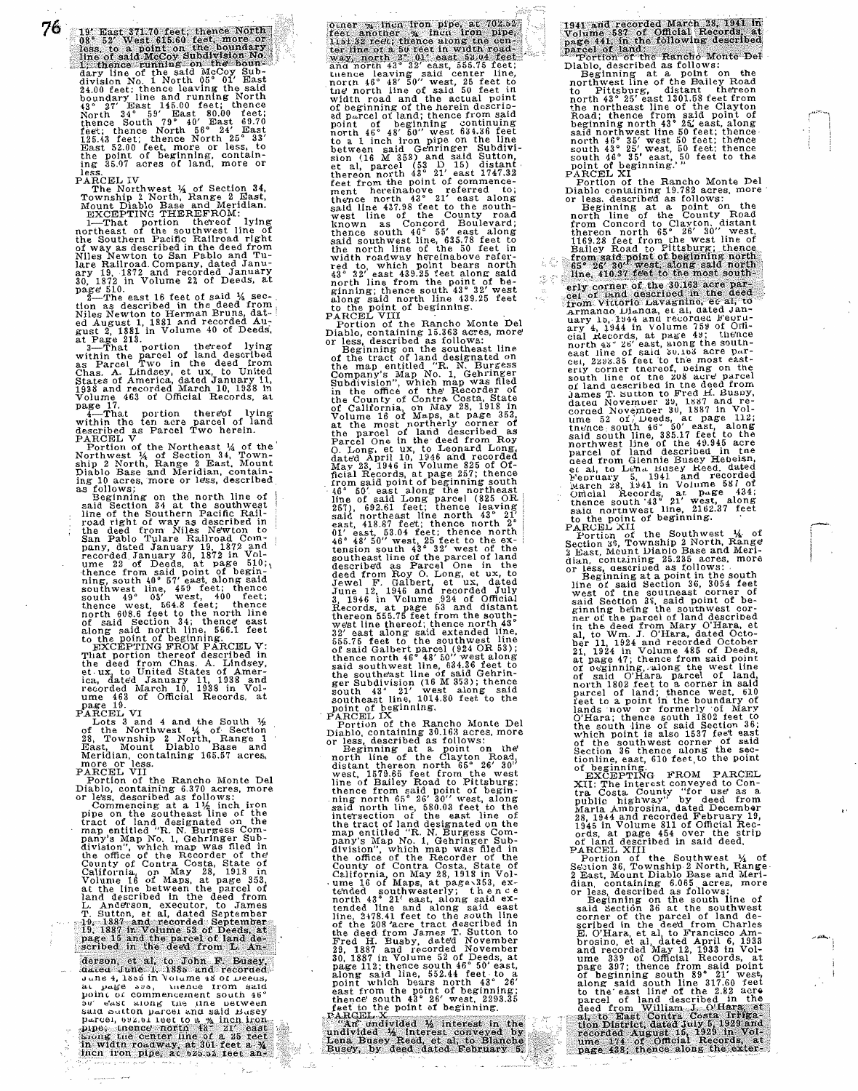76

Law line of the said McCoy Sub-<br>division No. 1 North 05<sup>5</sup> 01' East<br>24.00 feet; thence leaving the said<br>24.00 feet; thence leaving the said<br>8<sup>2</sup> 27' East 145.00 feet; thence<br>North 34° 59' East 60.00 feet;<br>North 34° 59' Eas ing 35.07 acres of land, more or less.

PARCEL IV<br>
The Northwest ¼ of Section 34,<br>
Township 2 North, Range 2 East,<br>
Mount Diablo Base and Meridian.<br>
<u>EXCEPTING THEREFROM:</u><br>
1-That portion thereof lying<br>
northeast of the southwest line of

the Southern Pacific Railroad right<br>of way as described in the deed from<br>Niles Newton to San Pablo and Tu-<br>lare Railroad. Company, dated January<br>30, 1872 in Volume 22 of Deeds, at

page 51.<br>
2-The east 16 feet of said 14 sec-<br>
tion as described in the deed from<br>
Niles Newton to Herman Bruns, dat-<br>
ed August 1, 1881 and recorded August 2, 1881 in Volume 40 of Deeds,<br>
at Page 213.<br>
3-That portion there Volume 463 of Official Records, at page 17.

page this portion thereof lying<br>state parcel of land<br>described as Parcel of land<br>described as Parcel Two herein.<br>Forthom of the Northawst 14 of Section 34, Town-<br>ship 2 North, Range 2 East, Mount<br>in the state of Section 34

June 4, 1885 in Volume 48 of Deeus, at pass . under trom said .<br>point of commencement south 46° bu' cast along the time between said south parcel and said Euse parcel, 022.01 leet to a  $\frac{m}{A}$  inch iron  $\sum_{i=1}^{n}$  $\frac{1}{2}$ 

and north 43° 32' east, 555.75 feet; tuence leaving said center line, north 46° 48' 50" west, 25 feet to the north line of said 50 feet in width road and the actual point<br>of beginning of the herein described<br>ed parcel of land; thence from said<br>point of beginning continuing<br>north 46° 48' 60'' west 634.38 feet<br>between said Genringer Subdivi-<br>between said Genrin sion (16 M 353) and said Sutton,<br>et al, parcel (53 D 15) distant<br>thereon north 43° 21' east 1747.32<br>feet from the point of commence-<br>ment hereinabove referred to; thence north  $43^\circ$  21' east along<br>stall line 437.98 feet to the south-<br>west line of the County road<br>known as Concord Boulevard;<br>thence south  $46^\circ$  55' east along<br>said southwest line, 638.78 feet to<br>width roadway hereina PARCEL VIII<br>Portion of the Rancho Monte Del

Diablo, containing 15.363 acres, more<br>or less, described as follows:<br>Or Seginaring on the southeast line<br>of the tract of land designated on<br>the map entitled "R. N. Burgess<br>Company's Map No. 1, Gehringer<br>Subdivision", which the parcel of land described as<br>
Parcel one in the deed from Roy<br>
Parcel One in the ded from Roy<br>
C. Long, et ux, to Leonard Long,<br>
dated April 10, 1946 and recorded<br>
May 23, 1946 in Volume 825 of Of-<br>
May 23, 1946 in Vol

June 12, 1946 and recorded July<br>3, 1946 and recorded July<br>3, 1946 and recorded July<br>3, 1946 and records Records. At page 53 and distant<br>thereon 555.75 feet from the southwest line thereof; thence noth 43°<br>52' east along sa north 43° 21' east, along said extended line and along said extended line, 2478.41 feet to the south line of the 208' acre tract described in the deed from James T. Sutton to Fred H. Busby, dated November 29. 1887 and rec

PARGEL<br>
"An" und<br>
undlyided<br>
Lena Buse<br>
Busey, by

1941 and recorded March 28, 1941 in<br>Volume 587 of Official Records, at<br>page 441, in the following described<br>parcel of land:<br>Tortion of the Rancho Monte De<br>Diablo, described as follows:<br>Beginning at a point on the northwest beginning north 43° 25' east, along<br>
said northwest line 50 teet; thence<br>
said northwest line 50 teet; thence<br>
south 43° 35' west 50 feet; thence<br>
south 43° 35' east, 50 feet to the<br>
point of beginning."<br>
PACED XI<br>
PACED

Bailey Road to Pittsburg; thence<br>from said point of beginning north<br>f5<sup>°</sup> 26' 30' west, along said north<br>line, 410.37 feet to the most southery corner of the concept of the deed<br>from Vittorio Lavagnino, et al, to<br>Armanao Dianda, et al, dated Jan-<br>uary 1b, 1944 and recorded Feur-<br>ary 4, 1944 in Volume 759 of Official Records, at page 49; thence<br>call Records, at CBI, 2293.35 feet to the most east-<br>eriy corner thereof, peing on the south line of the 208 acre parcel<br>of land aescribed in the deed from James T. Sutton to Fred H. Busny, dated November 2<sup>0</sup>, 1887 and re-<br>corned November 3<sup>0</sup>, 1887 in Vol-<br>ume 52 oi<sub>/</sub> Deeds, at page 112; thence south 46° 50' east, along<br>said south line, 385.17 feet to the northwest line of the 49.945 acre<br>parel of that described in the<br>parel of land described in the<br>ed from Giennie Busey Hebeisn,<br>et al, to Lena Busey Heed, dated<br>parel harch 28, 1941 in Volume 587 of<br>bincial Records, at page

 $\frac{1}{\sqrt{N}}\sum_{i=1}^{N} \frac{1}{\sqrt{N}}$ 

dian, containing 25.235 acres. more<br>or less, aescriued as follows: · · Beginning at a point in the south m

-·

I

line of said Section 36, 3054 feet west of the soutneast corner of said Section 36, said point of beginning being the southwest corner of the parcel of land described in the deed from Mary O'Hara, et<br>al, to Wm. J. O'Hara, dated October<br>ber 11, 1924 and recorded October<br>21, 1924 in Volume 485 of Deeds,<br>at page 47; thence from said point<br>of ogginning, along the west line<br>of said O'Hara pa lands now or formerly of Mary<br>
lands now or formerly of Mary<br>
O'Hara; thence south 1802 feet to<br>
the south line of said Section 36;<br>
which point is also 1537 feet east<br>
of the southwest corner of said<br>
Section 36 thence al

XII: The interest conveyed to Contract Contract Control of the Costa County "for use as a mubic highway" by deed from Maria Ambrosina, dated December 23, 1944 and recorded February 19, 196 and described in said deed,  $\sigma$ 

dian, containing 6.065 acres, more<br>or less described as follows:<br>Despinning on the south line of<br>said Section 36 at the south west<br>corner of the parcel of land de-<br>scribed in the deed from Charles-<br>E. O'Hara, et al, to Fr